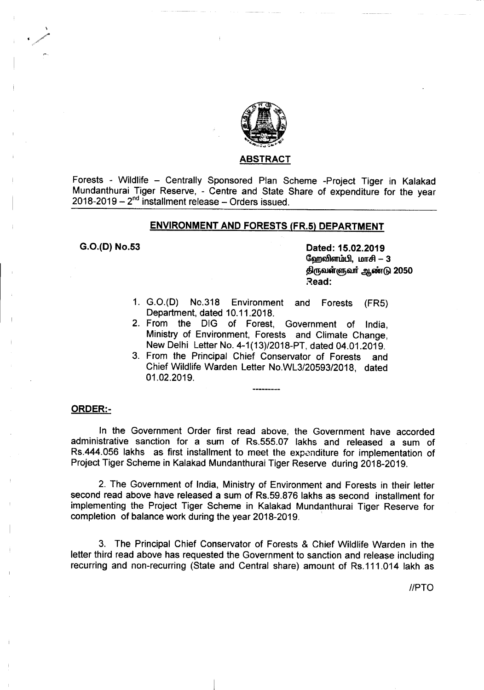

## <u>ABSTRACT</u>

Forests - Wildlife - Centrally Sponsored Plan Scheme -Project Tiger in Kalakad Mundanthurai Tiger Reserve, - Centre and State Share of expenditure for the year  $2018 - 2019 - 2^{nd}$  installment release - Orders issued.

# ENVIRONMENT AND FORESTS (FR.5) DEPARTMENT

G.O.(D) No.53 Dated: 15.02.2019 தேறவிளம்பி, மாசி $-3$ திருவள்ளுவர் ஆண்டு 2050 Read:

- 1. G.O.(D) No.318 Environment and Forests (FR5) Department, dated 10.11.2018.
- 2. From the DIG of Forest, Government of India, Ministry of Environment, Forests and Climate Change, New Delhi Letter No. 4-1*(13)/2018-PT,* dated 04.01.2019.
- 3. From the Principal Chief Conservator of Forests and Chief Wildlife Warden Letter No.WL3/20593/2018, dated 01.02.2019.

## ORDER:-

In the Government Order first read above, the Government have accorded administrative sanction for a sum of Rs.555.07 lakhs and released a sum of Rs.444.056 lakhs as first installment to meet the expenditure for implementation of Project Tiger Scheme in Kalakad Mundanthurai Tiger Reserve during 2018-2019.

2. The Government of India, Ministry of Environment and Forests in their letter second read above have released a sum of Rs.59.876 lakhs as second installment for implementing the Project Tiger Scheme in Kalakad Mundanthurai Tiger Reserve for completion of balance work during the year 2018-2019.

3. The Principal Chief Conservator of Forests & Chief Wildlife Warden in the letter third read above has requested the Government to sanction and release including recurring and non-recurring (State and Central share) amount of Rs.111.014 lakh as

//PTO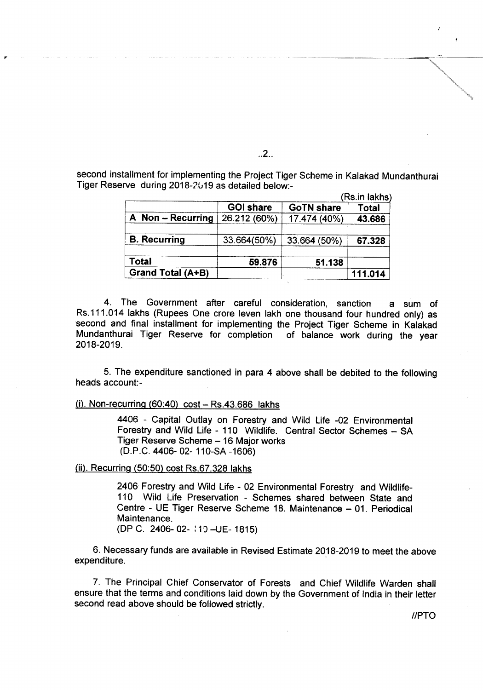second installment for implementing the Project Tiger Scheme in Kalakad Mundanthurai Tiger Reserve during 2018-2019 as detailed below:-

|                     | <b>GOI share</b> | <b>GoTN share</b> | <b>Total</b> |
|---------------------|------------------|-------------------|--------------|
| A Non-Recurring     | 26.212 (60%)     | 17.474 (40%)      | 43.686       |
| <b>B.</b> Recurring | 33.664(50%)      | 33.664 (50%)      | 67.328       |
| Total               | 59.876           | 51.138            |              |
| Grand Total (A+B)   |                  |                   | 111.014      |

4. The Government after careful consideration, sanction a sum of Rs.111.014 lakhs (Rupees One crore leven lakh one thousand four hundred only) as second and final installment for implementing the Project Tiger Scheme in Kalakad Mundanthurai Tiger Reserve for completion of balance work during the year 2018-2019.

5. The expenditure sanctioned in para 4 above shall be debited to the following heads account-

 $(i)$ . Non-recurring  $(60:40)$  cost - Rs.43.686 lakhs

4406 - Capital Outlay on Forestry and Wild Life -02 Environmental Forestry and Wild Life - 110 Wildlife. Central Sector Schemes - SA Tiger Reserve Scheme - 16 Major works (O.P.C. 4406- 02- 110-SA -1606)

(ii). Recurring (50:50) cost Rs.67.328 lakhs

2406 Forestry and Wild Life - 02 Environmental Forestry and Wildlife-110 Wild Life Preservation - Schemes shared between State and Centre - UE Tiger Reserve Scheme 18. Maintenance - 01. Periodical Maintenance. (OP C. 2406- 02- : 19 -UE- 1815)

6. Necessary funds are available in Revised Estimate 2018-2019 to meet the above expenditure.

7. The Principal Chief Conservator of Forests and Chief Wildlife Warden shall ensure that the terms and conditions laid down by the Government of India in their letter second read above should be followed strictly.

..2..

*IIPTO*